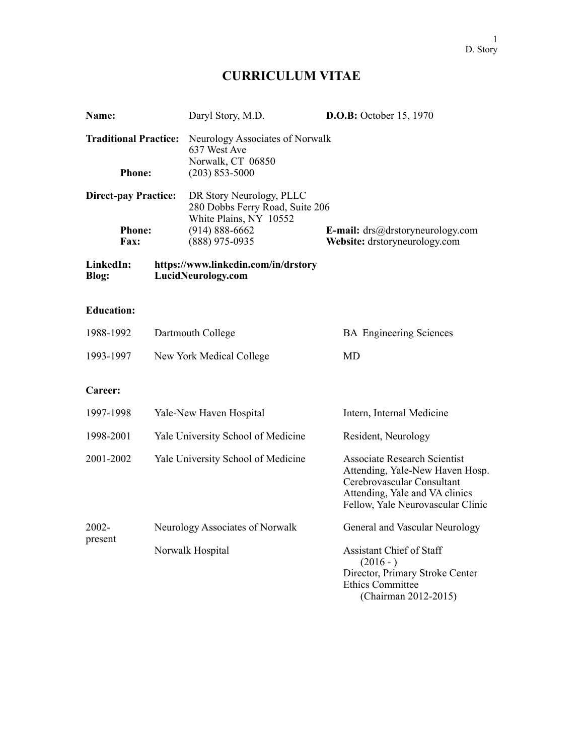# **CURRICULUM VITAE**

| Name:                                                       |                   | Daryl Story, M.D.                                                                                                             |  | <b>D.O.B:</b> October 15, 1970                                                                                                                                              |  |
|-------------------------------------------------------------|-------------------|-------------------------------------------------------------------------------------------------------------------------------|--|-----------------------------------------------------------------------------------------------------------------------------------------------------------------------------|--|
| <b>Traditional Practice:</b><br><b>Phone:</b>               |                   | Neurology Associates of Norwalk<br>637 West Ave<br>Norwalk, CT 06850<br>$(203)$ 853-5000                                      |  |                                                                                                                                                                             |  |
| <b>Direct-pay Practice:</b><br><b>Phone:</b><br><b>Fax:</b> |                   | DR Story Neurology, PLLC<br>280 Dobbs Ferry Road, Suite 206<br>White Plains, NY 10552<br>$(914) 888 - 6662$<br>(888) 975-0935 |  | <b>E-mail:</b> $\text{drs}(\partial_t)$ drstory neurology.com<br>Website: drstoryneurology.com                                                                              |  |
| LinkedIn:<br>Blog:                                          |                   | https://www.linkedin.com/in/drstory<br>LucidNeurology.com                                                                     |  |                                                                                                                                                                             |  |
| <b>Education:</b>                                           |                   |                                                                                                                               |  |                                                                                                                                                                             |  |
| 1988-1992                                                   | Dartmouth College |                                                                                                                               |  | <b>BA</b> Engineering Sciences                                                                                                                                              |  |
| 1993-1997                                                   |                   | New York Medical College                                                                                                      |  | <b>MD</b>                                                                                                                                                                   |  |
| Career:                                                     |                   |                                                                                                                               |  |                                                                                                                                                                             |  |
| 1997-1998                                                   |                   | Yale-New Haven Hospital                                                                                                       |  | Intern, Internal Medicine                                                                                                                                                   |  |
| 1998-2001                                                   |                   | Yale University School of Medicine                                                                                            |  | Resident, Neurology                                                                                                                                                         |  |
| 2001-2002                                                   |                   | Yale University School of Medicine                                                                                            |  | <b>Associate Research Scientist</b><br>Attending, Yale-New Haven Hosp.<br>Cerebrovascular Consultant<br>Attending, Yale and VA clinics<br>Fellow, Yale Neurovascular Clinic |  |
| 2002-                                                       |                   | Neurology Associates of Norwalk                                                                                               |  | General and Vascular Neurology                                                                                                                                              |  |
| present                                                     | Norwalk Hospital  |                                                                                                                               |  | <b>Assistant Chief of Staff</b><br>$(2016 - )$<br>Director, Primary Stroke Center<br><b>Ethics Committee</b><br>(Chairman 2012-2015)                                        |  |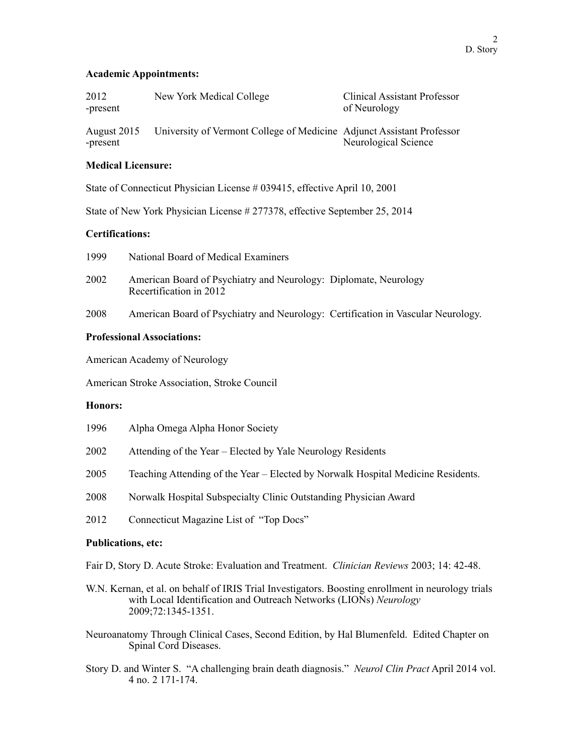## **Academic Appointments:**

| 2012     | New York Medical College | <b>Clinical Assistant Professor</b> |
|----------|--------------------------|-------------------------------------|
| -present |                          | of Neurology                        |
|          |                          |                                     |

August 2015 University of Vermont College of Medicine Adjunct Assistant Professor -present Neurological Science

# **Medical Licensure:**

State of Connecticut Physician License # 039415, effective April 10, 2001

State of New York Physician License # 277378, effective September 25, 2014

# **Certifications:**

| 2002 | American Board of Psychiatry and Neurology: Diplomate, Neurology |  |
|------|------------------------------------------------------------------|--|
|      | Recertification in 2012                                          |  |

2008 American Board of Psychiatry and Neurology: Certification in Vascular Neurology.

## **Professional Associations:**

American Academy of Neurology

American Stroke Association, Stroke Council

1999 National Board of Medical Examiners

#### **Honors:**

| 1996 | Alpha Omega Alpha Honor Society                                                  |
|------|----------------------------------------------------------------------------------|
| 2002 | Attending of the Year – Elected by Yale Neurology Residents                      |
| 2005 | Teaching Attending of the Year – Elected by Norwalk Hospital Medicine Residents. |
| 2008 | Norwalk Hospital Subspecialty Clinic Outstanding Physician Award                 |
|      |                                                                                  |

2012 Connecticut Magazine List of "Top Docs"

# **Publications, etc:**

Fair D, Story D. Acute Stroke: Evaluation and Treatment. *Clinician Reviews* 2003; 14: 42-48.

- W.N. Kernan, et al. on behalf of IRIS Trial Investigators. Boosting enrollment in neurology trials with Local Identification and Outreach Networks (LIONs) *Neurology* 2009;72:1345-1351.
- Neuroanatomy Through Clinical Cases, Second Edition, by Hal Blumenfeld. Edited Chapter on Spinal Cord Diseases.
- Story D. and Winter S. "A challenging brain death diagnosis." *Neurol Clin Pract* April 2014 vol. 4 no. 2 171-174.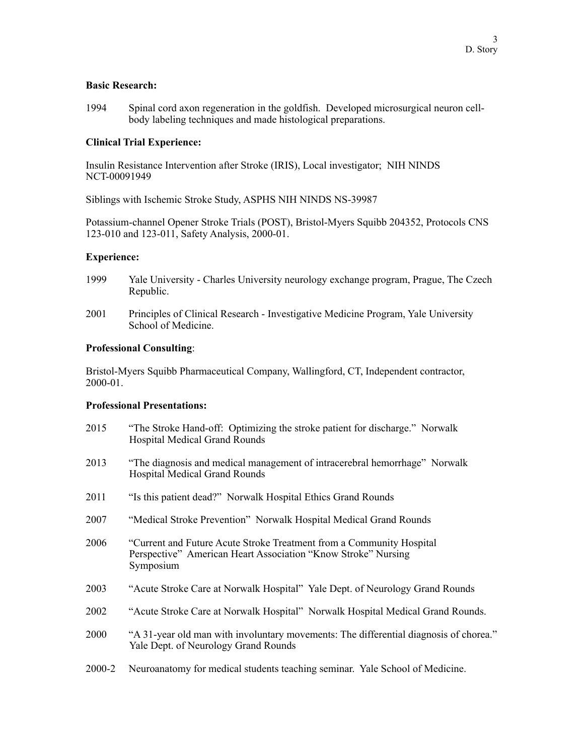## **Basic Research:**

1994 Spinal cord axon regeneration in the goldfish. Developed microsurgical neuron cellbody labeling techniques and made histological preparations.

# **Clinical Trial Experience:**

Insulin Resistance Intervention after Stroke (IRIS), Local investigator; NIH NINDS NCT-00091949

Siblings with Ischemic Stroke Study, ASPHS NIH NINDS NS-39987

Potassium-channel Opener Stroke Trials (POST), Bristol-Myers Squibb 204352, Protocols CNS 123-010 and 123-011, Safety Analysis, 2000-01.

## **Experience:**

- 1999 Yale University Charles University neurology exchange program, Prague, The Czech Republic.
- 2001 Principles of Clinical Research Investigative Medicine Program, Yale University School of Medicine.

## **Professional Consulting**:

Bristol-Myers Squibb Pharmaceutical Company, Wallingford, CT, Independent contractor, 2000-01.

#### **Professional Presentations:**

2015 "The Stroke Hand-off: Optimizing the stroke patient for discharge." Norwalk Hospital Medical Grand Rounds 2013 "The diagnosis and medical management of intracerebral hemorrhage" Norwalk Hospital Medical Grand Rounds 2011 "Is this patient dead?" Norwalk Hospital Ethics Grand Rounds 2007 "Medical Stroke Prevention" Norwalk Hospital Medical Grand Rounds 2006 "Current and Future Acute Stroke Treatment from a Community Hospital Perspective" American Heart Association "Know Stroke" Nursing Symposium 2003 "Acute Stroke Care at Norwalk Hospital" Yale Dept. of Neurology Grand Rounds 2002 "Acute Stroke Care at Norwalk Hospital" Norwalk Hospital Medical Grand Rounds. 2000 "A 31-year old man with involuntary movements: The differential diagnosis of chorea." Yale Dept. of Neurology Grand Rounds 2000-2 Neuroanatomy for medical students teaching seminar. Yale School of Medicine.